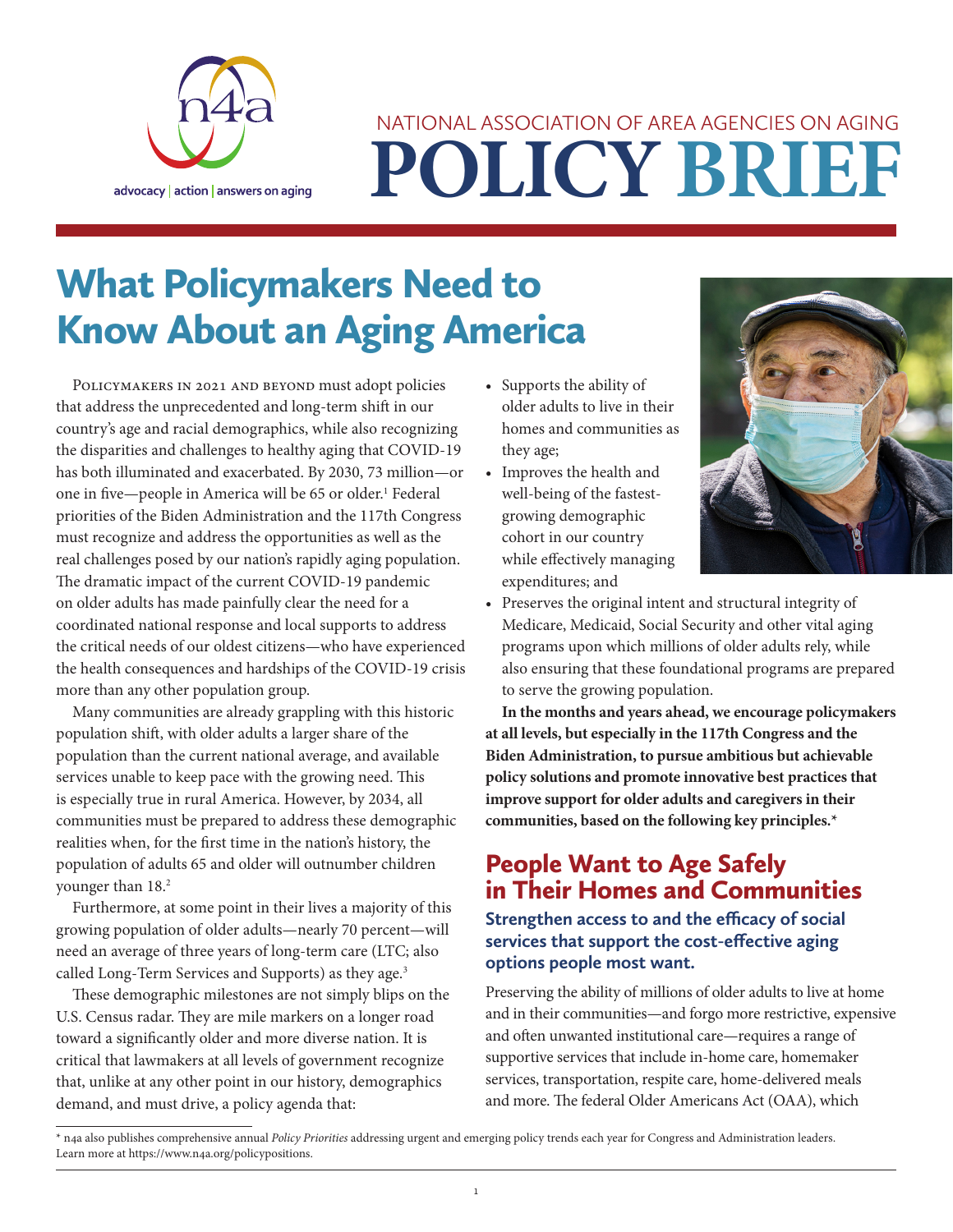

# **POLICY BRIEF** NATIONAL ASSOCIATION OF AREA AGENCIES ON AGING

## What Policymakers Need to Know About an Aging America

POLICYMAKERS IN 2021 AND BEYOND must adopt policies that address the unprecedented and long-term shift in our country's age and racial demographics, while also recognizing the disparities and challenges to healthy aging that COVID-19 has both illuminated and exacerbated. By 2030, 73 million—or one in five—people in America will be 65 or older.<sup>1</sup> Federal priorities of the Biden Administration and the 117th Congress must recognize and address the opportunities as well as the real challenges posed by our nation's rapidly aging population. The dramatic impact of the current COVID-19 pandemic on older adults has made painfully clear the need for a coordinated national response and local supports to address the critical needs of our oldest citizens—who have experienced the health consequences and hardships of the COVID-19 crisis more than any other population group.

Many communities are already grappling with this historic population shift, with older adults a larger share of the population than the current national average, and available services unable to keep pace with the growing need. This is especially true in rural America. However, by 2034, all communities must be prepared to address these demographic realities when, for the first time in the nation's history, the population of adults 65 and older will outnumber children younger than 18.<sup>2</sup>

Furthermore, at some point in their lives a majority of this growing population of older adults—nearly 70 percent—will need an average of three years of long-term care (LTC; also called Long-Term Services and Supports) as they age.<sup>3</sup>

These demographic milestones are not simply blips on the U.S. Census radar. They are mile markers on a longer road toward a significantly older and more diverse nation. It is critical that lawmakers at all levels of government recognize that, unlike at any other point in our history, demographics demand, and must drive, a policy agenda that:

- Supports the ability of older adults to live in their homes and communities as they age;
- Improves the health and well-being of the fastestgrowing demographic cohort in our country while effectively managing expenditures; and



• Preserves the original intent and structural integrity of Medicare, Medicaid, Social Security and other vital aging programs upon which millions of older adults rely, while also ensuring that these foundational programs are prepared to serve the growing population.

**In the months and years ahead, we encourage policymakers at all levels, but especially in the 117th Congress and the Biden Administration, to pursue ambitious but achievable policy solutions and promote innovative best practices that improve support for older adults and caregivers in their communities, based on the following key principles.\*** 

## People Want to Age Safely in Their Homes and Communities

**Strengthen access to and the efficacy of social services that support the cost-effective aging options people most want.** 

Preserving the ability of millions of older adults to live at home and in their communities—and forgo more restrictive, expensive and often unwanted institutional care—requires a range of supportive services that include in-home care, homemaker services, transportation, respite care, home-delivered meals and more. The federal Older Americans Act (OAA), which

<sup>\*</sup> n4a also publishes comprehensive annual *Policy Priorities* addressing urgent and emerging policy trends each year for Congress and Administration leaders. Learn more at [https://www.n4a.org/policypositions.](https://www.n4a.org/policypositions)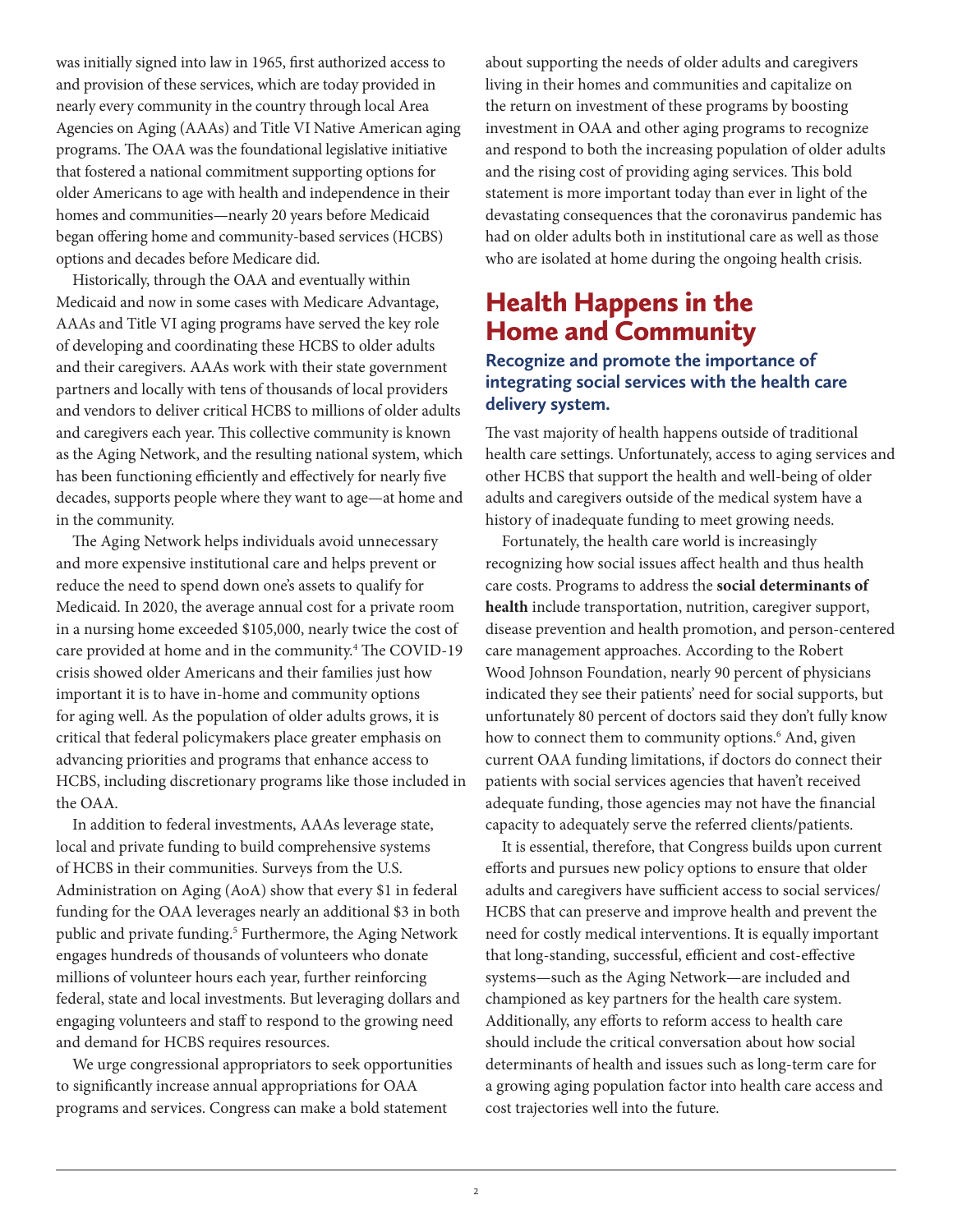was initially signed into law in 1965, first authorized access to and provision of these services, which are today provided in nearly every community in the country through local Area Agencies on Aging (AAAs) and Title VI Native American aging programs. The OAA was the foundational legislative initiative that fostered a national commitment supporting options for older Americans to age with health and independence in their homes and communities—nearly 20 years before Medicaid began offering home and community-based services (HCBS) options and decades before Medicare did.

Historically, through the OAA and eventually within Medicaid and now in some cases with Medicare Advantage, AAAs and Title VI aging programs have served the key role of developing and coordinating these HCBS to older adults and their caregivers. AAAs work with their state government partners and locally with tens of thousands of local providers and vendors to deliver critical HCBS to millions of older adults and caregivers each year. This collective community is known as the Aging Network, and the resulting national system, which has been functioning efficiently and effectively for nearly five decades, supports people where they want to age—at home and in the community.

The Aging Network helps individuals avoid unnecessary and more expensive institutional care and helps prevent or reduce the need to spend down one's assets to qualify for Medicaid. In 2020, the average annual cost for a private room in a nursing home exceeded \$105,000, nearly twice the cost of care provided at home and in the community.<sup>4</sup> The COVID-19 crisis showed older Americans and their families just how important it is to have in-home and community options for aging well. As the population of older adults grows, it is critical that federal policymakers place greater emphasis on advancing priorities and programs that enhance access to HCBS, including discretionary programs like those included in the OAA.

In addition to federal investments, AAAs leverage state, local and private funding to build comprehensive systems of HCBS in their communities. Surveys from the U.S. Administration on Aging (AoA) show that every \$1 in federal funding for the OAA leverages nearly an additional \$3 in both public and private funding.<sup>5</sup> Furthermore, the Aging Network engages hundreds of thousands of volunteers who donate millions of volunteer hours each year, further reinforcing federal, state and local investments. But leveraging dollars and engaging volunteers and staff to respond to the growing need and demand for HCBS requires resources.

We urge congressional appropriators to seek opportunities to significantly increase annual appropriations for OAA programs and services. Congress can make a bold statement

about supporting the needs of older adults and caregivers living in their homes and communities and capitalize on the return on investment of these programs by boosting investment in OAA and other aging programs to recognize and respond to both the increasing population of older adults and the rising cost of providing aging services. This bold statement is more important today than ever in light of the devastating consequences that the coronavirus pandemic has had on older adults both in institutional care as well as those who are isolated at home during the ongoing health crisis.

## Health Happens in the Home and Community

#### **Recognize and promote the importance of integrating social services with the health care delivery system.**

The vast majority of health happens outside of traditional health care settings. Unfortunately, access to aging services and other HCBS that support the health and well-being of older adults and caregivers outside of the medical system have a history of inadequate funding to meet growing needs.

Fortunately, the health care world is increasingly recognizing how social issues affect health and thus health care costs. Programs to address the **social determinants of health** include transportation, nutrition, caregiver support, disease prevention and health promotion, and person-centered care management approaches. According to the Robert Wood Johnson Foundation, nearly 90 percent of physicians indicated they see their patients' need for social supports, but unfortunately 80 percent of doctors said they don't fully know how to connect them to community options.<sup>6</sup> And, given current OAA funding limitations, if doctors do connect their patients with social services agencies that haven't received adequate funding, those agencies may not have the financial capacity to adequately serve the referred clients/patients.

It is essential, therefore, that Congress builds upon current efforts and pursues new policy options to ensure that older adults and caregivers have sufficient access to social services/ HCBS that can preserve and improve health and prevent the need for costly medical interventions. It is equally important that long-standing, successful, efficient and cost-effective systems—such as the Aging Network—are included and championed as key partners for the health care system. Additionally, any efforts to reform access to health care should include the critical conversation about how social determinants of health and issues such as long-term care for a growing aging population factor into health care access and cost trajectories well into the future.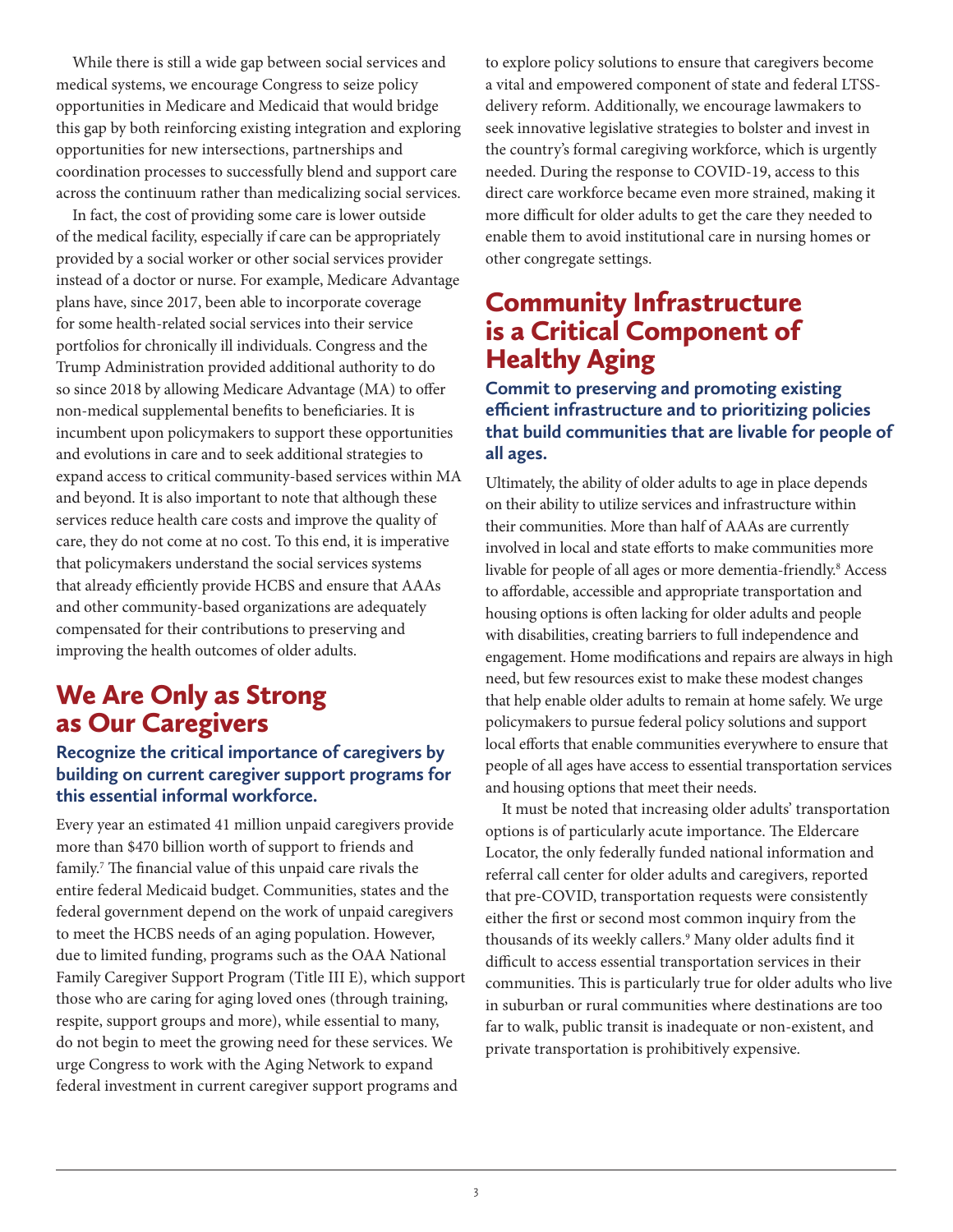While there is still a wide gap between social services and medical systems, we encourage Congress to seize policy opportunities in Medicare and Medicaid that would bridge this gap by both reinforcing existing integration and exploring opportunities for new intersections, partnerships and coordination processes to successfully blend and support care across the continuum rather than medicalizing social services.

In fact, the cost of providing some care is lower outside of the medical facility, especially if care can be appropriately provided by a social worker or other social services provider instead of a doctor or nurse. For example, Medicare Advantage plans have, since 2017, been able to incorporate coverage for some health-related social services into their service portfolios for chronically ill individuals. Congress and the Trump Administration provided additional authority to do so since 2018 by allowing Medicare Advantage (MA) to offer non-medical supplemental benefits to beneficiaries. It is incumbent upon policymakers to support these opportunities and evolutions in care and to seek additional strategies to expand access to critical community-based services within MA and beyond. It is also important to note that although these services reduce health care costs and improve the quality of care, they do not come at no cost. To this end, it is imperative that policymakers understand the social services systems that already efficiently provide HCBS and ensure that AAAs and other community-based organizations are adequately compensated for their contributions to preserving and improving the health outcomes of older adults.

## We Are Only as Strong as Our Caregivers

#### **Recognize the critical importance of caregivers by building on current caregiver support programs for this essential informal workforce.**

Every year an estimated 41 million unpaid caregivers provide more than \$470 billion worth of support to friends and family.<sup>7</sup> The financial value of this unpaid care rivals the entire federal Medicaid budget. Communities, states and the federal government depend on the work of unpaid caregivers to meet the HCBS needs of an aging population. However, due to limited funding, programs such as the OAA National Family Caregiver Support Program (Title III E), which support those who are caring for aging loved ones (through training, respite, support groups and more), while essential to many, do not begin to meet the growing need for these services. We urge Congress to work with the Aging Network to expand federal investment in current caregiver support programs and

to explore policy solutions to ensure that caregivers become a vital and empowered component of state and federal LTSSdelivery reform. Additionally, we encourage lawmakers to seek innovative legislative strategies to bolster and invest in the country's formal caregiving workforce, which is urgently needed. During the response to COVID-19, access to this direct care workforce became even more strained, making it more difficult for older adults to get the care they needed to enable them to avoid institutional care in nursing homes or other congregate settings.

### Community Infrastructure is a Critical Component of Healthy Aging

#### **Commit to preserving and promoting existing efficient infrastructure and to prioritizing policies that build communities that are livable for people of all ages.**

Ultimately, the ability of older adults to age in place depends on their ability to utilize services and infrastructure within their communities. More than half of AAAs are currently involved in local and state efforts to make communities more livable for people of all ages or more dementia-friendly.<sup>8</sup> Access to affordable, accessible and appropriate transportation and housing options is often lacking for older adults and people with disabilities, creating barriers to full independence and engagement. Home modifications and repairs are always in high need, but few resources exist to make these modest changes that help enable older adults to remain at home safely. We urge policymakers to pursue federal policy solutions and support local efforts that enable communities everywhere to ensure that people of all ages have access to essential transportation services and housing options that meet their needs.

It must be noted that increasing older adults' transportation options is of particularly acute importance. The Eldercare Locator, the only federally funded national information and referral call center for older adults and caregivers, reported that pre-COVID, transportation requests were consistently either the first or second most common inquiry from the thousands of its weekly callers.9 Many older adults find it difficult to access essential transportation services in their communities. This is particularly true for older adults who live in suburban or rural communities where destinations are too far to walk, public transit is inadequate or non-existent, and private transportation is prohibitively expensive.